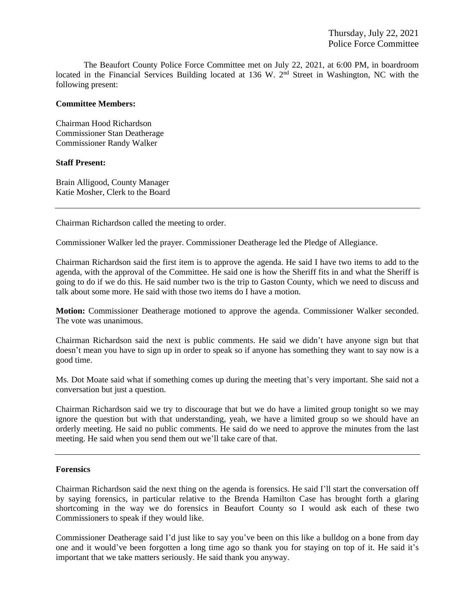The Beaufort County Police Force Committee met on July 22, 2021, at 6:00 PM, in boardroom located in the Financial Services Building located at 136 W. 2<sup>nd</sup> Street in Washington, NC with the following present:

### **Committee Members:**

Chairman Hood Richardson Commissioner Stan Deatherage Commissioner Randy Walker

### **Staff Present:**

Brain Alligood, County Manager Katie Mosher, Clerk to the Board

Chairman Richardson called the meeting to order.

Commissioner Walker led the prayer. Commissioner Deatherage led the Pledge of Allegiance.

Chairman Richardson said the first item is to approve the agenda. He said I have two items to add to the agenda, with the approval of the Committee. He said one is how the Sheriff fits in and what the Sheriff is going to do if we do this. He said number two is the trip to Gaston County, which we need to discuss and talk about some more. He said with those two items do I have a motion.

**Motion:** Commissioner Deatherage motioned to approve the agenda. Commissioner Walker seconded. The vote was unanimous.

Chairman Richardson said the next is public comments. He said we didn't have anyone sign but that doesn't mean you have to sign up in order to speak so if anyone has something they want to say now is a good time.

Ms. Dot Moate said what if something comes up during the meeting that's very important. She said not a conversation but just a question.

Chairman Richardson said we try to discourage that but we do have a limited group tonight so we may ignore the question but with that understanding, yeah, we have a limited group so we should have an orderly meeting. He said no public comments. He said do we need to approve the minutes from the last meeting. He said when you send them out we'll take care of that.

### **Forensics**

Chairman Richardson said the next thing on the agenda is forensics. He said I'll start the conversation off by saying forensics, in particular relative to the Brenda Hamilton Case has brought forth a glaring shortcoming in the way we do forensics in Beaufort County so I would ask each of these two Commissioners to speak if they would like.

Commissioner Deatherage said I'd just like to say you've been on this like a bulldog on a bone from day one and it would've been forgotten a long time ago so thank you for staying on top of it. He said it's important that we take matters seriously. He said thank you anyway.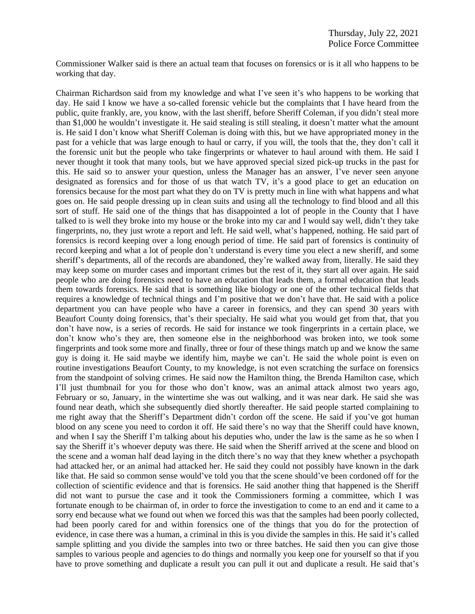Commissioner Walker said is there an actual team that focuses on forensics or is it all who happens to be working that day.

Chairman Richardson said from my knowledge and what I've seen it's who happens to be working that day. He said I know we have a so-called forensic vehicle but the complaints that I have heard from the public, quite frankly, are, you know, with the last sheriff, before Sheriff Coleman, if you didn't steal more than \$1,000 he wouldn't investigate it. He said stealing is still stealing, it doesn't matter what the amount is. He said I don't know what Sheriff Coleman is doing with this, but we have appropriated money in the past for a vehicle that was large enough to haul or carry, if you will, the tools that the, they don't call it the forensic unit but the people who take fingerprints or whatever to haul around with them. He said I never thought it took that many tools, but we have approved special sized pick-up trucks in the past for this. He said so to answer your question, unless the Manager has an answer, I've never seen anyone designated as forensics and for those of us that watch TV, it's a good place to get an education on forensics because for the most part what they do on TV is pretty much in line with what happens and what goes on. He said people dressing up in clean suits and using all the technology to find blood and all this sort of stuff. He said one of the things that has disappointed a lot of people in the County that I have talked to is well they broke into my house or the broke into my car and I would say well, didn't they take fingerprints, no, they just wrote a report and left. He said well, what's happened, nothing. He said part of forensics is record keeping over a long enough period of time. He said part of forensics is continuity of record keeping and what a lot of people don't understand is every time you elect a new sheriff, and some sheriff's departments, all of the records are abandoned, they're walked away from, literally. He said they may keep some on murder cases and important crimes but the rest of it, they start all over again. He said people who are doing forensics need to have an education that leads them, a formal education that leads them towards forensics. He said that is something like biology or one of the other technical fields that requires a knowledge of technical things and I'm positive that we don't have that. He said with a police department you can have people who have a career in forensics, and they can spend 30 years with Beaufort County doing forensics, that's their specialty. He said what you would get from that, that you don't have now, is a series of records. He said for instance we took fingerprints in a certain place, we don't know who's they are, then someone else in the neighborhood was broken into, we took some fingerprints and took some more and finally, three or four of these things match up and we know the same guy is doing it. He said maybe we identify him, maybe we can't. He said the whole point is even on routine investigations Beaufort County, to my knowledge, is not even scratching the surface on forensics from the standpoint of solving crimes. He said now the Hamilton thing, the Brenda Hamilton case, which I'll just thumbnail for you for those who don't know, was an animal attack almost two years ago, February or so, January, in the wintertime she was out walking, and it was near dark. He said she was found near death, which she subsequently died shortly thereafter. He said people started complaining to me right away that the Sheriff's Department didn't cordon off the scene. He said if you've got human blood on any scene you need to cordon it off. He said there's no way that the Sheriff could have known, and when I say the Sheriff I'm talking about his deputies who, under the law is the same as he so when I say the Sheriff it's whoever deputy was there. He said when the Sheriff arrived at the scene and blood on the scene and a woman half dead laying in the ditch there's no way that they knew whether a psychopath had attacked her, or an animal had attacked her. He said they could not possibly have known in the dark like that. He said so common sense would've told you that the scene should've been cordoned off for the collection of scientific evidence and that is forensics. He said another thing that happened is the Sheriff did not want to pursue the case and it took the Commissioners forming a committee, which I was fortunate enough to be chairman of, in order to force the investigation to come to an end and it came to a sorry end because what we found out when we forced this was that the samples had been poorly collected, had been poorly cared for and within forensics one of the things that you do for the protection of evidence, in case there was a human, a criminal in this is you divide the samples in this. He said it's called sample splitting and you divide the samples into two or three batches. He said then you can give those samples to various people and agencies to do things and normally you keep one for yourself so that if you have to prove something and duplicate a result you can pull it out and duplicate a result. He said that's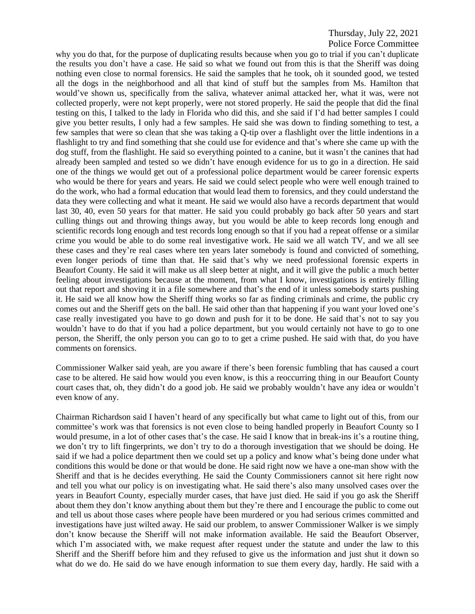why you do that, for the purpose of duplicating results because when you go to trial if you can't duplicate the results you don't have a case. He said so what we found out from this is that the Sheriff was doing nothing even close to normal forensics. He said the samples that he took, oh it sounded good, we tested all the dogs in the neighborhood and all that kind of stuff but the samples from Ms. Hamilton that would've shown us, specifically from the saliva, whatever animal attacked her, what it was, were not collected properly, were not kept properly, were not stored properly. He said the people that did the final testing on this, I talked to the lady in Florida who did this, and she said if I'd had better samples I could give you better results, I only had a few samples. He said she was down to finding something to test, a few samples that were so clean that she was taking a Q-tip over a flashlight over the little indentions in a flashlight to try and find something that she could use for evidence and that's where she came up with the dog stuff, from the flashlight. He said so everything pointed to a canine, but it wasn't the canines that had already been sampled and tested so we didn't have enough evidence for us to go in a direction. He said one of the things we would get out of a professional police department would be career forensic experts who would be there for years and years. He said we could select people who were well enough trained to do the work, who had a formal education that would lead them to forensics, and they could understand the data they were collecting and what it meant. He said we would also have a records department that would last 30, 40, even 50 years for that matter. He said you could probably go back after 50 years and start culling things out and throwing things away, but you would be able to keep records long enough and scientific records long enough and test records long enough so that if you had a repeat offense or a similar crime you would be able to do some real investigative work. He said we all watch TV, and we all see these cases and they're real cases where ten years later somebody is found and convicted of something, even longer periods of time than that. He said that's why we need professional forensic experts in Beaufort County. He said it will make us all sleep better at night, and it will give the public a much better feeling about investigations because at the moment, from what I know, investigations is entirely filling out that report and shoving it in a file somewhere and that's the end of it unless somebody starts pushing it. He said we all know how the Sheriff thing works so far as finding criminals and crime, the public cry comes out and the Sheriff gets on the ball. He said other than that happening if you want your loved one's case really investigated you have to go down and push for it to be done. He said that's not to say you wouldn't have to do that if you had a police department, but you would certainly not have to go to one person, the Sheriff, the only person you can go to to get a crime pushed. He said with that, do you have comments on forensics.

Commissioner Walker said yeah, are you aware if there's been forensic fumbling that has caused a court case to be altered. He said how would you even know, is this a reoccurring thing in our Beaufort County court cases that, oh, they didn't do a good job. He said we probably wouldn't have any idea or wouldn't even know of any.

Chairman Richardson said I haven't heard of any specifically but what came to light out of this, from our committee's work was that forensics is not even close to being handled properly in Beaufort County so I would presume, in a lot of other cases that's the case. He said I know that in break-ins it's a routine thing, we don't try to lift fingerprints, we don't try to do a thorough investigation that we should be doing. He said if we had a police department then we could set up a policy and know what's being done under what conditions this would be done or that would be done. He said right now we have a one-man show with the Sheriff and that is he decides everything. He said the County Commissioners cannot sit here right now and tell you what our policy is on investigating what. He said there's also many unsolved cases over the years in Beaufort County, especially murder cases, that have just died. He said if you go ask the Sheriff about them they don't know anything about them but they're there and I encourage the public to come out and tell us about those cases where people have been murdered or you had serious crimes committed and investigations have just wilted away. He said our problem, to answer Commissioner Walker is we simply don't know because the Sheriff will not make information available. He said the Beaufort Observer, which I'm associated with, we make request after request under the statute and under the law to this Sheriff and the Sheriff before him and they refused to give us the information and just shut it down so what do we do. He said do we have enough information to sue them every day, hardly. He said with a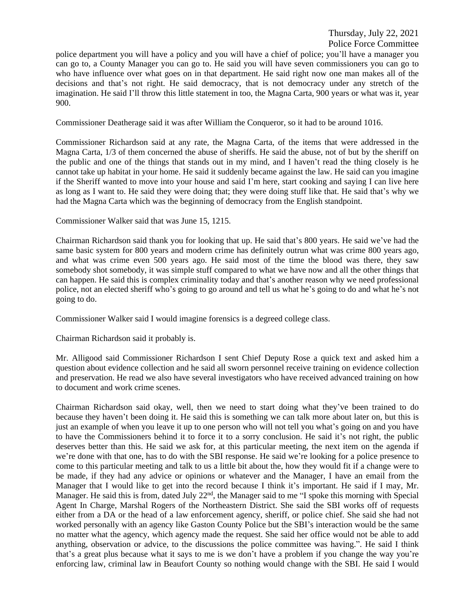police department you will have a policy and you will have a chief of police; you'll have a manager you can go to, a County Manager you can go to. He said you will have seven commissioners you can go to who have influence over what goes on in that department. He said right now one man makes all of the decisions and that's not right. He said democracy, that is not democracy under any stretch of the imagination. He said I'll throw this little statement in too, the Magna Carta, 900 years or what was it, year 900.

Commissioner Deatherage said it was after William the Conqueror, so it had to be around 1016.

Commissioner Richardson said at any rate, the Magna Carta, of the items that were addressed in the Magna Carta, 1/3 of them concerned the abuse of sheriffs. He said the abuse, not of but by the sheriff on the public and one of the things that stands out in my mind, and I haven't read the thing closely is he cannot take up habitat in your home. He said it suddenly became against the law. He said can you imagine if the Sheriff wanted to move into your house and said I'm here, start cooking and saying I can live here as long as I want to. He said they were doing that; they were doing stuff like that. He said that's why we had the Magna Carta which was the beginning of democracy from the English standpoint.

Commissioner Walker said that was June 15, 1215.

Chairman Richardson said thank you for looking that up. He said that's 800 years. He said we've had the same basic system for 800 years and modern crime has definitely outrun what was crime 800 years ago, and what was crime even 500 years ago. He said most of the time the blood was there, they saw somebody shot somebody, it was simple stuff compared to what we have now and all the other things that can happen. He said this is complex criminality today and that's another reason why we need professional police, not an elected sheriff who's going to go around and tell us what he's going to do and what he's not going to do.

Commissioner Walker said I would imagine forensics is a degreed college class.

Chairman Richardson said it probably is.

Mr. Alligood said Commissioner Richardson I sent Chief Deputy Rose a quick text and asked him a question about evidence collection and he said all sworn personnel receive training on evidence collection and preservation. He read we also have several investigators who have received advanced training on how to document and work crime scenes.

Chairman Richardson said okay, well, then we need to start doing what they've been trained to do because they haven't been doing it. He said this is something we can talk more about later on, but this is just an example of when you leave it up to one person who will not tell you what's going on and you have to have the Commissioners behind it to force it to a sorry conclusion. He said it's not right, the public deserves better than this. He said we ask for, at this particular meeting, the next item on the agenda if we're done with that one, has to do with the SBI response. He said we're looking for a police presence to come to this particular meeting and talk to us a little bit about the, how they would fit if a change were to be made, if they had any advice or opinions or whatever and the Manager, I have an email from the Manager that I would like to get into the record because I think it's important. He said if I may, Mr. Manager. He said this is from, dated July 22<sup>nd</sup>, the Manager said to me "I spoke this morning with Special Agent In Charge, Marshal Rogers of the Northeastern District. She said the SBI works off of requests either from a DA or the head of a law enforcement agency, sheriff, or police chief. She said she had not worked personally with an agency like Gaston County Police but the SBI's interaction would be the same no matter what the agency, which agency made the request. She said her office would not be able to add anything, observation or advice, to the discussions the police committee was having.". He said I think that's a great plus because what it says to me is we don't have a problem if you change the way you're enforcing law, criminal law in Beaufort County so nothing would change with the SBI. He said I would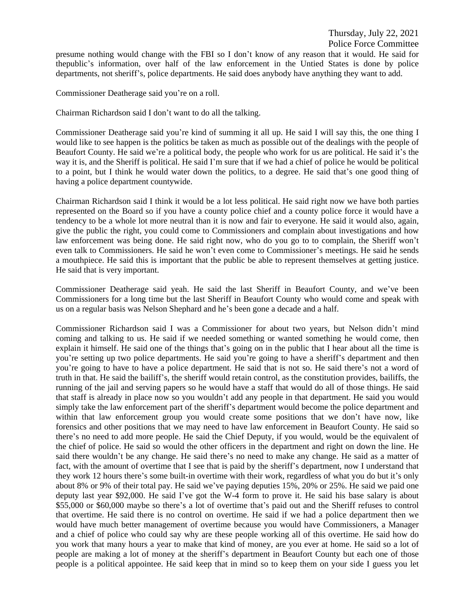presume nothing would change with the FBI so I don't know of any reason that it would. He said for thepublic's information, over half of the law enforcement in the Untied States is done by police departments, not sheriff's, police departments. He said does anybody have anything they want to add.

Commissioner Deatherage said you're on a roll.

Chairman Richardson said I don't want to do all the talking.

Commissioner Deatherage said you're kind of summing it all up. He said I will say this, the one thing I would like to see happen is the politics be taken as much as possible out of the dealings with the people of Beaufort County. He said we're a political body, the people who work for us are political. He said it's the way it is, and the Sheriff is political. He said I'm sure that if we had a chief of police he would be political to a point, but I think he would water down the politics, to a degree. He said that's one good thing of having a police department countywide.

Chairman Richardson said I think it would be a lot less political. He said right now we have both parties represented on the Board so if you have a county police chief and a county police force it would have a tendency to be a whole lot more neutral than it is now and fair to everyone. He said it would also, again, give the public the right, you could come to Commissioners and complain about investigations and how law enforcement was being done. He said right now, who do you go to to complain, the Sheriff won't even talk to Commissioners. He said he won't even come to Commissioner's meetings. He said he sends a mouthpiece. He said this is important that the public be able to represent themselves at getting justice. He said that is very important.

Commissioner Deatherage said yeah. He said the last Sheriff in Beaufort County, and we've been Commissioners for a long time but the last Sheriff in Beaufort County who would come and speak with us on a regular basis was Nelson Shephard and he's been gone a decade and a half.

Commissioner Richardson said I was a Commissioner for about two years, but Nelson didn't mind coming and talking to us. He said if we needed something or wanted something he would come, then explain it himself. He said one of the things that's going on in the public that I hear about all the time is you're setting up two police departments. He said you're going to have a sheriff's department and then you're going to have to have a police department. He said that is not so. He said there's not a word of truth in that. He said the bailiff's, the sheriff would retain control, as the constitution provides, bailiffs, the running of the jail and serving papers so he would have a staff that would do all of those things. He said that staff is already in place now so you wouldn't add any people in that department. He said you would simply take the law enforcement part of the sheriff's department would become the police department and within that law enforcement group you would create some positions that we don't have now, like forensics and other positions that we may need to have law enforcement in Beaufort County. He said so there's no need to add more people. He said the Chief Deputy, if you would, would be the equivalent of the chief of police. He said so would the other officers in the department and right on down the line. He said there wouldn't be any change. He said there's no need to make any change. He said as a matter of fact, with the amount of overtime that I see that is paid by the sheriff's department, now I understand that they work 12 hours there's some built-in overtime with their work, regardless of what you do but it's only about 8% or 9% of their total pay. He said we've paying deputies 15%, 20% or 25%. He said we paid one deputy last year \$92,000. He said I've got the W-4 form to prove it. He said his base salary is about \$55,000 or \$60,000 maybe so there's a lot of overtime that's paid out and the Sheriff refuses to control that overtime. He said there is no control on overtime. He said if we had a police department then we would have much better management of overtime because you would have Commissioners, a Manager and a chief of police who could say why are these people working all of this overtime. He said how do you work that many hours a year to make that kind of money, are you ever at home. He said so a lot of people are making a lot of money at the sheriff's department in Beaufort County but each one of those people is a political appointee. He said keep that in mind so to keep them on your side I guess you let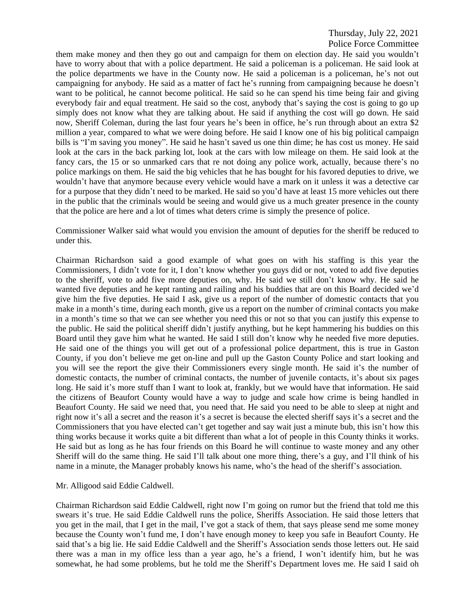them make money and then they go out and campaign for them on election day. He said you wouldn't have to worry about that with a police department. He said a policeman is a policeman. He said look at the police departments we have in the County now. He said a policeman is a policeman, he's not out campaigning for anybody. He said as a matter of fact he's running from campaigning because he doesn't want to be political, he cannot become political. He said so he can spend his time being fair and giving everybody fair and equal treatment. He said so the cost, anybody that's saying the cost is going to go up simply does not know what they are talking about. He said if anything the cost will go down. He said now, Sheriff Coleman, during the last four years he's been in office, he's run through about an extra \$2 million a year, compared to what we were doing before. He said I know one of his big political campaign bills is "I'm saving you money". He said he hasn't saved us one thin dime; he has cost us money. He said look at the cars in the back parking lot, look at the cars with low mileage on them. He said look at the fancy cars, the 15 or so unmarked cars that re not doing any police work, actually, because there's no police markings on them. He said the big vehicles that he has bought for his favored deputies to drive, we wouldn't have that anymore because every vehicle would have a mark on it unless it was a detective car for a purpose that they didn't need to be marked. He said so you'd have at least 15 more vehicles out there in the public that the criminals would be seeing and would give us a much greater presence in the county that the police are here and a lot of times what deters crime is simply the presence of police.

Commissioner Walker said what would you envision the amount of deputies for the sheriff be reduced to under this.

Chairman Richardson said a good example of what goes on with his staffing is this year the Commissioners, I didn't vote for it, I don't know whether you guys did or not, voted to add five deputies to the sheriff, vote to add five more deputies on, why. He said we still don't know why. He said he wanted five deputies and he kept ranting and railing and his buddies that are on this Board decided we'd give him the five deputies. He said I ask, give us a report of the number of domestic contacts that you make in a month's time, during each month, give us a report on the number of criminal contacts you make in a month's time so that we can see whether you need this or not so that you can justify this expense to the public. He said the political sheriff didn't justify anything, but he kept hammering his buddies on this Board until they gave him what he wanted. He said I still don't know why he needed five more deputies. He said one of the things you will get out of a professional police department, this is true in Gaston County, if you don't believe me get on-line and pull up the Gaston County Police and start looking and you will see the report the give their Commissioners every single month. He said it's the number of domestic contacts, the number of criminal contacts, the number of juvenile contacts, it's about six pages long. He said it's more stuff than I want to look at, frankly, but we would have that information. He said the citizens of Beaufort County would have a way to judge and scale how crime is being handled in Beaufort County. He said we need that, you need that. He said you need to be able to sleep at night and right now it's all a secret and the reason it's a secret is because the elected sheriff says it's a secret and the Commissioners that you have elected can't get together and say wait just a minute bub, this isn't how this thing works because it works quite a bit different than what a lot of people in this County thinks it works. He said but as long as he has four friends on this Board he will continue to waste money and any other Sheriff will do the same thing. He said I'll talk about one more thing, there's a guy, and I'll think of his name in a minute, the Manager probably knows his name, who's the head of the sheriff's association.

### Mr. Alligood said Eddie Caldwell.

Chairman Richardson said Eddie Caldwell, right now I'm going on rumor but the friend that told me this swears it's true. He said Eddie Caldwell runs the police, Sheriffs Association. He said those letters that you get in the mail, that I get in the mail, I've got a stack of them, that says please send me some money because the County won't fund me, I don't have enough money to keep you safe in Beaufort County. He said that's a big lie. He said Eddie Caldwell and the Sheriff's Association sends those letters out. He said there was a man in my office less than a year ago, he's a friend, I won't identify him, but he was somewhat, he had some problems, but he told me the Sheriff's Department loves me. He said I said oh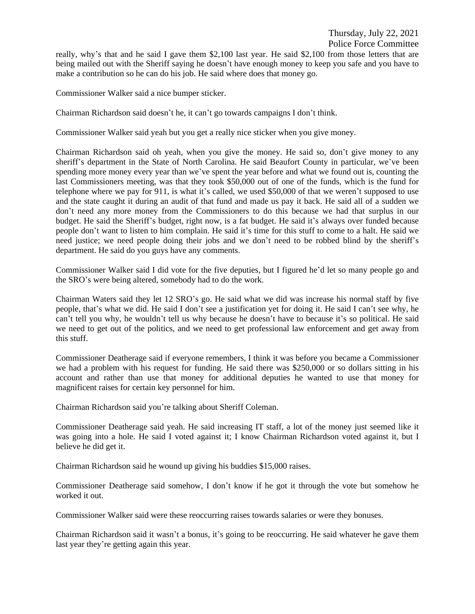# Police Force Committee

really, why's that and he said I gave them \$2,100 last year. He said \$2,100 from those letters that are being mailed out with the Sheriff saying he doesn't have enough money to keep you safe and you have to make a contribution so he can do his job. He said where does that money go.

Commissioner Walker said a nice bumper sticker.

Chairman Richardson said doesn't he, it can't go towards campaigns I don't think.

Commissioner Walker said yeah but you get a really nice sticker when you give money.

Chairman Richardson said oh yeah, when you give the money. He said so, don't give money to any sheriff's department in the State of North Carolina. He said Beaufort County in particular, we've been spending more money every year than we've spent the year before and what we found out is, counting the last Commissioners meeting, was that they took \$50,000 out of one of the funds, which is the fund for telephone where we pay for 911, is what it's called, we used \$50,000 of that we weren't supposed to use and the state caught it during an audit of that fund and made us pay it back. He said all of a sudden we don't need any more money from the Commissioners to do this because we had that surplus in our budget. He said the Sheriff's budget, right now, is a fat budget. He said it's always over funded because people don't want to listen to him complain. He said it's time for this stuff to come to a halt. He said we need justice; we need people doing their jobs and we don't need to be robbed blind by the sheriff's department. He said do you guys have any comments.

Commissioner Walker said I did vote for the five deputies, but I figured he'd let so many people go and the SRO's were being altered, somebody had to do the work.

Chairman Waters said they let 12 SRO's go. He said what we did was increase his normal staff by five people, that's what we did. He said I don't see a justification yet for doing it. He said I can't see why, he can't tell you why, he wouldn't tell us why because he doesn't have to because it's so political. He said we need to get out of the politics, and we need to get professional law enforcement and get away from this stuff.

Commissioner Deatherage said if everyone remembers, I think it was before you became a Commissioner we had a problem with his request for funding. He said there was \$250,000 or so dollars sitting in his account and rather than use that money for additional deputies he wanted to use that money for magnificent raises for certain key personnel for him.

Chairman Richardson said you're talking about Sheriff Coleman.

Commissioner Deatherage said yeah. He said increasing IT staff, a lot of the money just seemed like it was going into a hole. He said I voted against it; I know Chairman Richardson voted against it, but I believe he did get it.

Chairman Richardson said he wound up giving his buddies \$15,000 raises.

Commissioner Deatherage said somehow, I don't know if he got it through the vote but somehow he worked it out.

Commissioner Walker said were these reoccurring raises towards salaries or were they bonuses.

Chairman Richardson said it wasn't a bonus, it's going to be reoccurring. He said whatever he gave them last year they're getting again this year.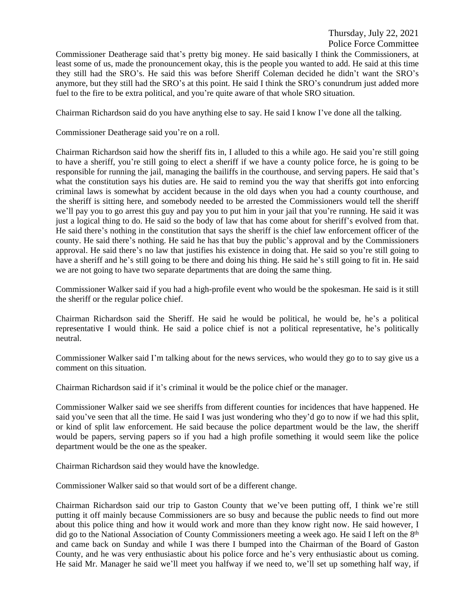Thursday, July 22, 2021

Police Force Committee

Commissioner Deatherage said that's pretty big money. He said basically I think the Commissioners, at least some of us, made the pronouncement okay, this is the people you wanted to add. He said at this time they still had the SRO's. He said this was before Sheriff Coleman decided he didn't want the SRO's anymore, but they still had the SRO's at this point. He said I think the SRO's conundrum just added more fuel to the fire to be extra political, and you're quite aware of that whole SRO situation.

Chairman Richardson said do you have anything else to say. He said I know I've done all the talking.

Commissioner Deatherage said you're on a roll.

Chairman Richardson said how the sheriff fits in, I alluded to this a while ago. He said you're still going to have a sheriff, you're still going to elect a sheriff if we have a county police force, he is going to be responsible for running the jail, managing the bailiffs in the courthouse, and serving papers. He said that's what the constitution says his duties are. He said to remind you the way that sheriffs got into enforcing criminal laws is somewhat by accident because in the old days when you had a county courthouse, and the sheriff is sitting here, and somebody needed to be arrested the Commissioners would tell the sheriff we'll pay you to go arrest this guy and pay you to put him in your jail that you're running. He said it was just a logical thing to do. He said so the body of law that has come about for sheriff's evolved from that. He said there's nothing in the constitution that says the sheriff is the chief law enforcement officer of the county. He said there's nothing. He said he has that buy the public's approval and by the Commissioners approval. He said there's no law that justifies his existence in doing that. He said so you're still going to have a sheriff and he's still going to be there and doing his thing. He said he's still going to fit in. He said we are not going to have two separate departments that are doing the same thing.

Commissioner Walker said if you had a high-profile event who would be the spokesman. He said is it still the sheriff or the regular police chief.

Chairman Richardson said the Sheriff. He said he would be political, he would be, he's a political representative I would think. He said a police chief is not a political representative, he's politically neutral.

Commissioner Walker said I'm talking about for the news services, who would they go to to say give us a comment on this situation.

Chairman Richardson said if it's criminal it would be the police chief or the manager.

Commissioner Walker said we see sheriffs from different counties for incidences that have happened. He said you've seen that all the time. He said I was just wondering who they'd go to now if we had this split, or kind of split law enforcement. He said because the police department would be the law, the sheriff would be papers, serving papers so if you had a high profile something it would seem like the police department would be the one as the speaker.

Chairman Richardson said they would have the knowledge.

Commissioner Walker said so that would sort of be a different change.

Chairman Richardson said our trip to Gaston County that we've been putting off, I think we're still putting it off mainly because Commissioners are so busy and because the public needs to find out more about this police thing and how it would work and more than they know right now. He said however, I did go to the National Association of County Commissioners meeting a week ago. He said I left on the 8<sup>th</sup> and came back on Sunday and while I was there I bumped into the Chairman of the Board of Gaston County, and he was very enthusiastic about his police force and he's very enthusiastic about us coming. He said Mr. Manager he said we'll meet you halfway if we need to, we'll set up something half way, if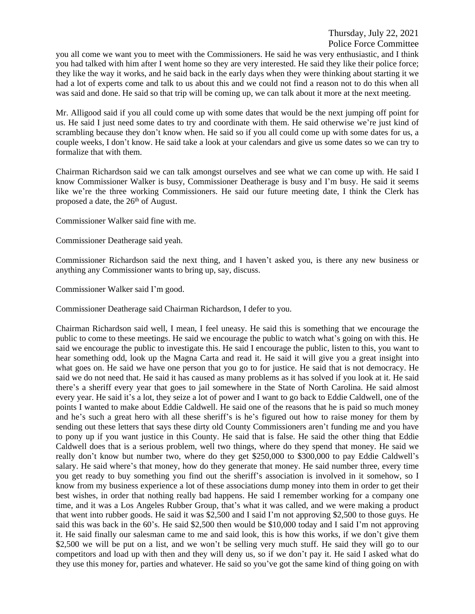you all come we want you to meet with the Commissioners. He said he was very enthusiastic, and I think you had talked with him after I went home so they are very interested. He said they like their police force; they like the way it works, and he said back in the early days when they were thinking about starting it we had a lot of experts come and talk to us about this and we could not find a reason not to do this when all was said and done. He said so that trip will be coming up, we can talk about it more at the next meeting.

Mr. Alligood said if you all could come up with some dates that would be the next jumping off point for us. He said I just need some dates to try and coordinate with them. He said otherwise we're just kind of scrambling because they don't know when. He said so if you all could come up with some dates for us, a couple weeks, I don't know. He said take a look at your calendars and give us some dates so we can try to formalize that with them.

Chairman Richardson said we can talk amongst ourselves and see what we can come up with. He said I know Commissioner Walker is busy, Commissioner Deatherage is busy and I'm busy. He said it seems like we're the three working Commissioners. He said our future meeting date, I think the Clerk has proposed a date, the 26<sup>th</sup> of August.

Commissioner Walker said fine with me.

Commissioner Deatherage said yeah.

Commissioner Richardson said the next thing, and I haven't asked you, is there any new business or anything any Commissioner wants to bring up, say, discuss.

Commissioner Walker said I'm good.

Commissioner Deatherage said Chairman Richardson, I defer to you.

Chairman Richardson said well, I mean, I feel uneasy. He said this is something that we encourage the public to come to these meetings. He said we encourage the public to watch what's going on with this. He said we encourage the public to investigate this. He said I encourage the public, listen to this, you want to hear something odd, look up the Magna Carta and read it. He said it will give you a great insight into what goes on. He said we have one person that you go to for justice. He said that is not democracy. He said we do not need that. He said it has caused as many problems as it has solved if you look at it. He said there's a sheriff every year that goes to jail somewhere in the State of North Carolina. He said almost every year. He said it's a lot, they seize a lot of power and I want to go back to Eddie Caldwell, one of the points I wanted to make about Eddie Caldwell. He said one of the reasons that he is paid so much money and he's such a great hero with all these sheriff's is he's figured out how to raise money for them by sending out these letters that says these dirty old County Commissioners aren't funding me and you have to pony up if you want justice in this County. He said that is false. He said the other thing that Eddie Caldwell does that is a serious problem, well two things, where do they spend that money. He said we really don't know but number two, where do they get \$250,000 to \$300,000 to pay Eddie Caldwell's salary. He said where's that money, how do they generate that money. He said number three, every time you get ready to buy something you find out the sheriff's association is involved in it somehow, so I know from my business experience a lot of these associations dump money into them in order to get their best wishes, in order that nothing really bad happens. He said I remember working for a company one time, and it was a Los Angeles Rubber Group, that's what it was called, and we were making a product that went into rubber goods. He said it was \$2,500 and I said I'm not approving \$2,500 to those guys. He said this was back in the 60's. He said \$2,500 then would be \$10,000 today and I said I'm not approving it. He said finally our salesman came to me and said look, this is how this works, if we don't give them \$2,500 we will be put on a list, and we won't be selling very much stuff. He said they will go to our competitors and load up with then and they will deny us, so if we don't pay it. He said I asked what do they use this money for, parties and whatever. He said so you've got the same kind of thing going on with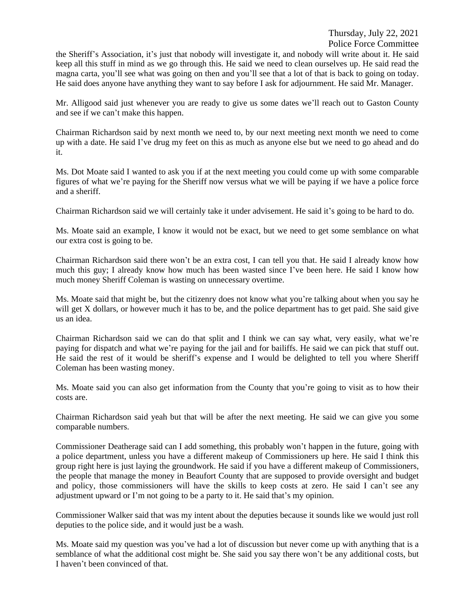Thursday, July 22, 2021

Police Force Committee

the Sheriff's Association, it's just that nobody will investigate it, and nobody will write about it. He said keep all this stuff in mind as we go through this. He said we need to clean ourselves up. He said read the magna carta, you'll see what was going on then and you'll see that a lot of that is back to going on today. He said does anyone have anything they want to say before I ask for adjournment. He said Mr. Manager.

Mr. Alligood said just whenever you are ready to give us some dates we'll reach out to Gaston County and see if we can't make this happen.

Chairman Richardson said by next month we need to, by our next meeting next month we need to come up with a date. He said I've drug my feet on this as much as anyone else but we need to go ahead and do it.

Ms. Dot Moate said I wanted to ask you if at the next meeting you could come up with some comparable figures of what we're paying for the Sheriff now versus what we will be paying if we have a police force and a sheriff.

Chairman Richardson said we will certainly take it under advisement. He said it's going to be hard to do.

Ms. Moate said an example, I know it would not be exact, but we need to get some semblance on what our extra cost is going to be.

Chairman Richardson said there won't be an extra cost, I can tell you that. He said I already know how much this guy; I already know how much has been wasted since I've been here. He said I know how much money Sheriff Coleman is wasting on unnecessary overtime.

Ms. Moate said that might be, but the citizenry does not know what you're talking about when you say he will get X dollars, or however much it has to be, and the police department has to get paid. She said give us an idea.

Chairman Richardson said we can do that split and I think we can say what, very easily, what we're paying for dispatch and what we're paying for the jail and for bailiffs. He said we can pick that stuff out. He said the rest of it would be sheriff's expense and I would be delighted to tell you where Sheriff Coleman has been wasting money.

Ms. Moate said you can also get information from the County that you're going to visit as to how their costs are.

Chairman Richardson said yeah but that will be after the next meeting. He said we can give you some comparable numbers.

Commissioner Deatherage said can I add something, this probably won't happen in the future, going with a police department, unless you have a different makeup of Commissioners up here. He said I think this group right here is just laying the groundwork. He said if you have a different makeup of Commissioners, the people that manage the money in Beaufort County that are supposed to provide oversight and budget and policy, those commissioners will have the skills to keep costs at zero. He said I can't see any adjustment upward or I'm not going to be a party to it. He said that's my opinion.

Commissioner Walker said that was my intent about the deputies because it sounds like we would just roll deputies to the police side, and it would just be a wash.

Ms. Moate said my question was you've had a lot of discussion but never come up with anything that is a semblance of what the additional cost might be. She said you say there won't be any additional costs, but I haven't been convinced of that.